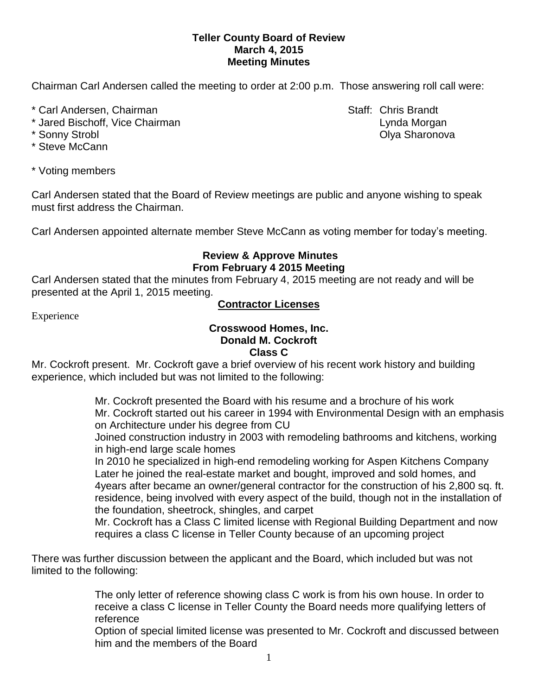#### **Teller County Board of Review March 4, 2015 Meeting Minutes**

Chairman Carl Andersen called the meeting to order at 2:00 p.m. Those answering roll call were:

- \* Carl Andersen, Chairman Staff: Chris Brandt
- \* Jared Bischoff, Vice Chairman Lynda Morgan
- 
- \* Steve McCann
- \* Voting members

Carl Andersen stated that the Board of Review meetings are public and anyone wishing to speak must first address the Chairman.

Carl Andersen appointed alternate member Steve McCann as voting member for today's meeting.

### **Review & Approve Minutes From February 4 2015 Meeting**

Carl Andersen stated that the minutes from February 4, 2015 meeting are not ready and will be presented at the April 1, 2015 meeting.

### **Contractor Licenses**

Experience

### **Crosswood Homes, Inc. Donald M. Cockroft Class C**

Mr. Cockroft present. Mr. Cockroft gave a brief overview of his recent work history and building experience, which included but was not limited to the following:

> Mr. Cockroft presented the Board with his resume and a brochure of his work Mr. Cockroft started out his career in 1994 with Environmental Design with an emphasis on Architecture under his degree from CU

Joined construction industry in 2003 with remodeling bathrooms and kitchens, working in high-end large scale homes

In 2010 he specialized in high-end remodeling working for Aspen Kitchens Company Later he joined the real-estate market and bought, improved and sold homes, and 4years after became an owner/general contractor for the construction of his 2,800 sq. ft. residence, being involved with every aspect of the build, though not in the installation of the foundation, sheetrock, shingles, and carpet

Mr. Cockroft has a Class C limited license with Regional Building Department and now requires a class C license in Teller County because of an upcoming project

There was further discussion between the applicant and the Board, which included but was not limited to the following:

> The only letter of reference showing class C work is from his own house. In order to receive a class C license in Teller County the Board needs more qualifying letters of reference

Option of special limited license was presented to Mr. Cockroft and discussed between him and the members of the Board

\* Sonny Strobl Olya Sharonova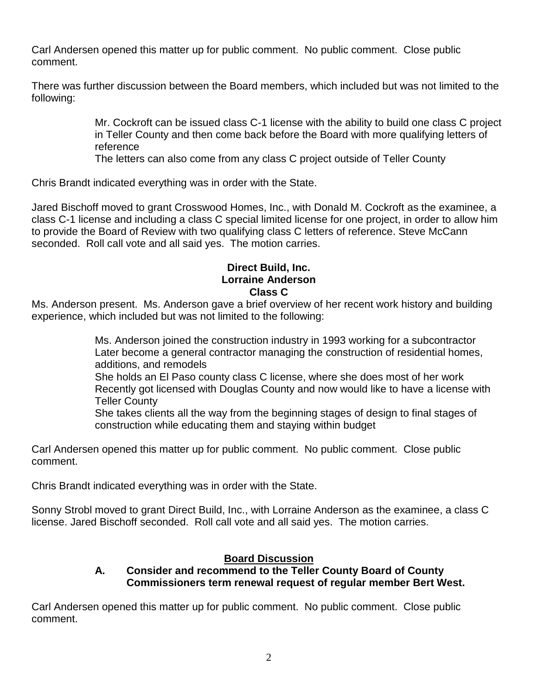Carl Andersen opened this matter up for public comment. No public comment. Close public comment.

There was further discussion between the Board members, which included but was not limited to the following:

> Mr. Cockroft can be issued class C-1 license with the ability to build one class C project in Teller County and then come back before the Board with more qualifying letters of reference

The letters can also come from any class C project outside of Teller County

Chris Brandt indicated everything was in order with the State.

Jared Bischoff moved to grant Crosswood Homes, Inc., with Donald M. Cockroft as the examinee, a class C-1 license and including a class C special limited license for one project, in order to allow him to provide the Board of Review with two qualifying class C letters of reference. Steve McCann seconded. Roll call vote and all said yes. The motion carries.

### **Direct Build, Inc. Lorraine Anderson Class C**

Ms. Anderson present. Ms. Anderson gave a brief overview of her recent work history and building experience, which included but was not limited to the following:

> Ms. Anderson joined the construction industry in 1993 working for a subcontractor Later become a general contractor managing the construction of residential homes, additions, and remodels She holds an El Paso county class C license, where she does most of her work Recently got licensed with Douglas County and now would like to have a license with Teller County

She takes clients all the way from the beginning stages of design to final stages of construction while educating them and staying within budget

Carl Andersen opened this matter up for public comment. No public comment. Close public comment.

Chris Brandt indicated everything was in order with the State.

Sonny Strobl moved to grant Direct Build, Inc., with Lorraine Anderson as the examinee, a class C license. Jared Bischoff seconded. Roll call vote and all said yes. The motion carries.

## **Board Discussion**

# **A. Consider and recommend to the Teller County Board of County Commissioners term renewal request of regular member Bert West.**

Carl Andersen opened this matter up for public comment. No public comment. Close public comment.